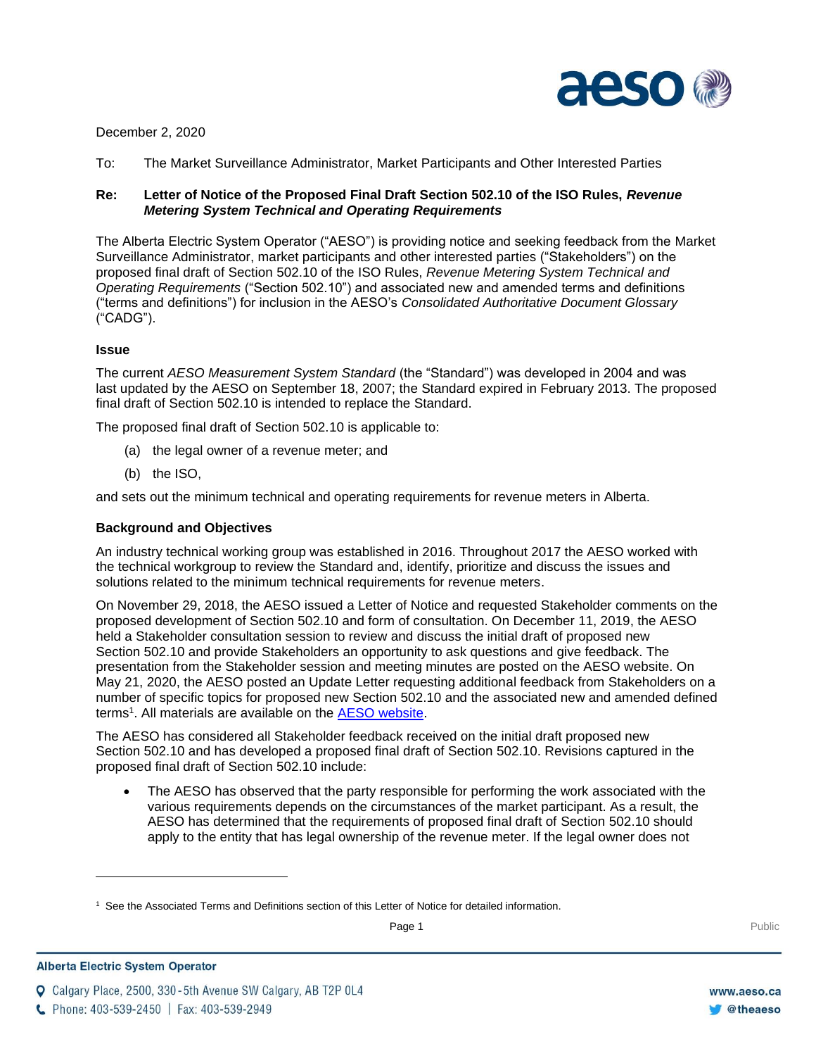

### December 2, 2020

To: The Market Surveillance Administrator, Market Participants and Other Interested Parties

# **Re: Letter of Notice of the Proposed Final Draft Section 502.10 of the ISO Rules,** *Revenue Metering System Technical and Operating Requirements*

The Alberta Electric System Operator ("AESO") is providing notice and seeking feedback from the Market Surveillance Administrator, market participants and other interested parties ("Stakeholders") on the proposed final draft of Section 502.10 of the ISO Rules, *Revenue Metering System Technical and Operating Requirements* ("Section 502.10") and associated new and amended terms and definitions ("terms and definitions") for inclusion in the AESO's *Consolidated Authoritative Document Glossary* ("CADG").

## **Issue**

The current *AESO Measurement System Standard* (the "Standard") was developed in 2004 and was last updated by the AESO on September 18, 2007; the Standard expired in February 2013. The proposed final draft of Section 502.10 is intended to replace the Standard.

The proposed final draft of Section 502.10 is applicable to:

- (a) the legal owner of a revenue meter; and
- (b) the ISO,

and sets out the minimum technical and operating requirements for revenue meters in Alberta.

#### **Background and Objectives**

An industry technical working group was established in 2016. Throughout 2017 the AESO worked with the technical workgroup to review the Standard and, identify, prioritize and discuss the issues and solutions related to the minimum technical requirements for revenue meters.

On November 29, 2018, the AESO issued a Letter of Notice and requested Stakeholder comments on the proposed development of Section 502.10 and form of consultation. On December 11, 2019, the AESO held a Stakeholder consultation session to review and discuss the initial draft of proposed new Section 502.10 and provide Stakeholders an opportunity to ask questions and give feedback. The presentation from the Stakeholder session and meeting minutes are posted on the AESO website. On May 21, 2020, the AESO posted an Update Letter requesting additional feedback from Stakeholders on a number of specific topics for proposed new Section 502.10 and the associated new and amended defined terms<sup>1</sup>. All materials are available on the **AESO website**.

The AESO has considered all Stakeholder feedback received on the initial draft proposed new Section 502.10 and has developed a proposed final draft of Section 502.10. Revisions captured in the proposed final draft of Section 502.10 include:

• The AESO has observed that the party responsible for performing the work associated with the various requirements depends on the circumstances of the market participant. As a result, the AESO has determined that the requirements of proposed final draft of Section 502.10 should apply to the entity that has legal ownership of the revenue meter. If the legal owner does not

Q Calgary Place, 2500, 330-5th Avenue SW Calgary, AB T2P 0L4



<sup>1</sup> See the Associated Terms and Definitions section of this Letter of Notice for detailed information.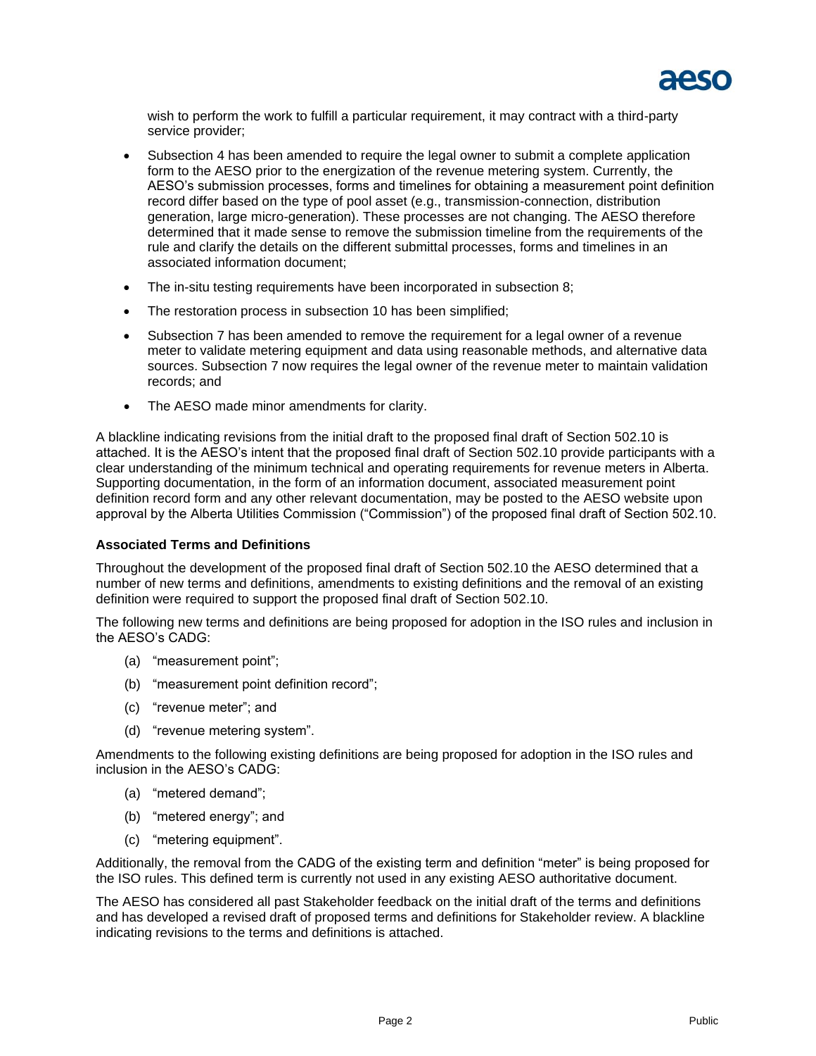

wish to perform the work to fulfill a particular requirement, it may contract with a third-party service provider;

- Subsection 4 has been amended to require the legal owner to submit a complete application form to the AESO prior to the energization of the revenue metering system. Currently, the AESO's submission processes, forms and timelines for obtaining a measurement point definition record differ based on the type of pool asset (e.g., transmission-connection, distribution generation, large micro-generation). These processes are not changing. The AESO therefore determined that it made sense to remove the submission timeline from the requirements of the rule and clarify the details on the different submittal processes, forms and timelines in an associated information document;
- The in-situ testing requirements have been incorporated in subsection 8;
- The restoration process in subsection 10 has been simplified;
- Subsection 7 has been amended to remove the requirement for a legal owner of a revenue meter to validate metering equipment and data using reasonable methods, and alternative data sources. Subsection 7 now requires the legal owner of the revenue meter to maintain validation records; and
- The AESO made minor amendments for clarity.

A blackline indicating revisions from the initial draft to the proposed final draft of Section 502.10 is attached. It is the AESO's intent that the proposed final draft of Section 502.10 provide participants with a clear understanding of the minimum technical and operating requirements for revenue meters in Alberta. Supporting documentation, in the form of an information document, associated measurement point definition record form and any other relevant documentation, may be posted to the AESO website upon approval by the Alberta Utilities Commission ("Commission") of the proposed final draft of Section 502.10.

#### **Associated Terms and Definitions**

Throughout the development of the proposed final draft of Section 502.10 the AESO determined that a number of new terms and definitions, amendments to existing definitions and the removal of an existing definition were required to support the proposed final draft of Section 502.10.

The following new terms and definitions are being proposed for adoption in the ISO rules and inclusion in the AESO's CADG:

- (a) "measurement point";
- (b) "measurement point definition record";
- (c) "revenue meter"; and
- (d) "revenue metering system".

Amendments to the following existing definitions are being proposed for adoption in the ISO rules and inclusion in the AESO's CADG:

- (a) "metered demand";
- (b) "metered energy"; and
- (c) "metering equipment".

Additionally, the removal from the CADG of the existing term and definition "meter" is being proposed for the ISO rules. This defined term is currently not used in any existing AESO authoritative document.

The AESO has considered all past Stakeholder feedback on the initial draft of the terms and definitions and has developed a revised draft of proposed terms and definitions for Stakeholder review. A blackline indicating revisions to the terms and definitions is attached.